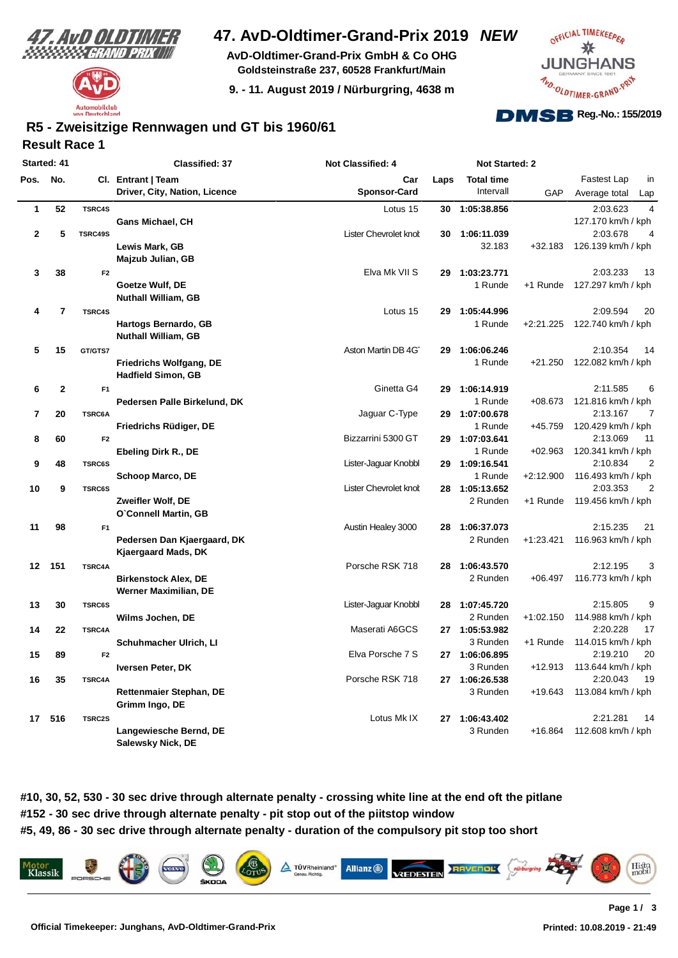



# **47. AvD-Oldtimer-Grand-Prix 2019** *NEW*

**AvD-Oldtimer-Grand-Prix GmbH & Co OHG Goldsteinstraße 237, 60528 Frankfurt/Main**

**9. - 11. August 2019 / Nürburgring, 4638 m**



### **Result Race 1 R5 - Zweisitzige Rennwagen und GT bis 1960/61**

| Started: 41 |                |                | <b>Classified: 37</b>          | Not Classified: 4     |      | <b>Not Started: 2</b> |             |                            |
|-------------|----------------|----------------|--------------------------------|-----------------------|------|-----------------------|-------------|----------------------------|
| Pos.        | No.            |                | Cl. Entrant   Team             | Car                   | Laps | <b>Total time</b>     |             | <b>Fastest Lap</b><br>in   |
|             |                |                | Driver, City, Nation, Licence  | <b>Sponsor-Card</b>   |      | Intervall             | GAP         | Average total<br>Lap       |
| 1           | 52             | <b>TSRC4S</b>  |                                | Lotus 15              | 30   | 1:05:38.856           |             | 2:03.623<br>4              |
|             |                |                | Gans Michael, CH               |                       |      |                       |             | 127.170 km/h / kph         |
| $\mathbf 2$ | 5              | TSRC49S        |                                | Lister Chevrolet knot | 30   | 1:06:11.039           |             | 2:03.678<br>4              |
|             |                |                | Lewis Mark, GB                 |                       |      | 32.183                | $+32.183$   | 126.139 km/h / kph         |
|             |                |                | Majzub Julian, GB              |                       |      |                       |             |                            |
| 3           | 38             | F <sub>2</sub> |                                | Elva Mk VII S         | 29   | 1:03:23.771           |             | 2:03.233<br>13             |
|             |                |                | Goetze Wulf, DE                |                       |      | 1 Runde               | +1 Runde    | 127.297 km/h / kph         |
|             |                |                | <b>Nuthall William, GB</b>     |                       |      |                       |             |                            |
| 4           | $\overline{7}$ | <b>TSRC4S</b>  |                                | Lotus 15              | 29   | 1:05:44.996           |             | 2:09.594<br>20             |
|             |                |                | Hartogs Bernardo, GB           |                       |      | 1 Runde               | $+2:21.225$ | 122.740 km/h / kph         |
|             |                |                | <b>Nuthall William, GB</b>     |                       |      |                       |             |                            |
| 5           | 15             | GT/GTS7        |                                | Aston Martin DB 4G    | 29   | 1:06:06.246           |             | 2:10.354<br>14             |
|             |                |                | <b>Friedrichs Wolfgang, DE</b> |                       |      | 1 Runde               | $+21.250$   | 122.082 km/h / kph         |
|             |                |                | <b>Hadfield Simon, GB</b>      |                       |      |                       |             |                            |
| 6           | $\mathbf{2}$   | F <sub>1</sub> |                                | Ginetta G4            | 29   | 1:06:14.919           |             | 2:11.585<br>6              |
|             |                |                | Pedersen Palle Birkelund, DK   |                       |      | 1 Runde               | $+08.673$   | 121.816 km/h / kph         |
| 7           | 20             | TSRC6A         |                                | Jaguar C-Type         | 29   | 1:07:00.678           |             | 2:13.167<br>7              |
|             |                |                | Friedrichs Rüdiger, DE         |                       |      | 1 Runde               | $+45.759$   | 120.429 km/h / kph         |
| 8           | 60             | F <sub>2</sub> |                                | Bizzarrini 5300 GT    | 29   | 1:07:03.641           |             | 2:13.069<br>11             |
|             |                |                | Ebeling Dirk R., DE            |                       |      | 1 Runde               | $+02.963$   | 120.341 km/h / kph         |
| 9           | 48             | <b>TSRC6S</b>  |                                | Lister-Jaguar Knobbl  | 29   | 1:09:16.541           |             | 2:10.834<br>$\overline{2}$ |
|             |                |                | <b>Schoop Marco, DE</b>        |                       |      | 1 Runde               | $+2:12.900$ | 116.493 km/h / kph         |
| 10          | 9              | <b>TSRC6S</b>  |                                | Lister Chevrolet knot | 28   | 1:05:13.652           |             | $\overline{2}$<br>2:03.353 |
|             |                |                | Zweifler Wolf, DE              |                       |      | 2 Runden              | +1 Runde    | 119.456 km/h / kph         |
|             |                |                | O'Connell Martin, GB           |                       |      |                       |             |                            |
| 11          | 98             | F <sub>1</sub> |                                | Austin Healey 3000    | 28   | 1:06:37.073           |             | 2:15.235<br>21             |
|             |                |                | Pedersen Dan Kjaergaard, DK    |                       |      | 2 Runden              | $+1:23.421$ | 116.963 km/h / kph         |
|             |                |                | Kjaergaard Mads, DK            |                       |      |                       |             |                            |
|             | 151            |                |                                | Porsche RSK 718       | 28   | 1:06:43.570           |             | 3<br>2:12.195              |
| 12          |                | <b>TSRC4A</b>  |                                |                       |      |                       |             |                            |
|             |                |                | <b>Birkenstock Alex, DE</b>    |                       |      | 2 Runden              | $+06.497$   | 116.773 km/h / kph         |
|             |                |                | Werner Maximilian, DE          |                       |      |                       |             |                            |
| 13          | 30             | <b>TSRC6S</b>  |                                | Lister-Jaguar Knobbl  |      | 28 1:07:45.720        |             | 2:15.805<br>9              |
|             |                |                | Wilms Jochen, DE               |                       |      | 2 Runden              | $+1:02.150$ | 114.988 km/h / kph         |
| 14          | 22             | TSRC4A         |                                | Maserati A6GCS        |      | 27 1:05:53.982        |             | 2:20.228<br>17             |
|             |                |                | Schuhmacher Ulrich, Ll         |                       |      | 3 Runden              | +1 Runde    | 114.015 km/h / kph         |
| 15          | 89             | F <sub>2</sub> |                                | Elva Porsche 7 S      |      | 27 1:06:06.895        |             | 2:19.210<br>20             |
|             |                |                | Iversen Peter, DK              |                       |      | 3 Runden              | +12.913     | 113.644 km/h / kph         |
| 16          | 35             | TSRC4A         |                                | Porsche RSK 718       |      | 27 1:06:26.538        |             | 2:20.043<br>19             |
|             |                |                | Rettenmaier Stephan, DE        |                       |      | 3 Runden              | +19.643     | 113.084 km/h / kph         |
|             |                |                | Grimm Ingo, DE                 |                       |      |                       |             |                            |
|             | 17 516         | <b>TSRC2S</b>  |                                | Lotus Mk IX           |      | 27 1:06:43.402        |             | 2:21.281<br>14             |
|             |                |                | Langewiesche Bernd, DE         |                       |      | 3 Runden              | $+16.864$   | 112.608 km/h / kph         |
|             |                |                | Salewsky Nick, DE              |                       |      |                       |             |                            |

**#10, 30, 52, 530 - 30 sec drive through alternate penalty - crossing white line at the end oft the pitlane #152 - 30 sec drive through alternate penalty - pit stop out of the piitstop window #5, 49, 86 - 30 sec drive through alternate penalty - duration of the compulsory pit stop too short**

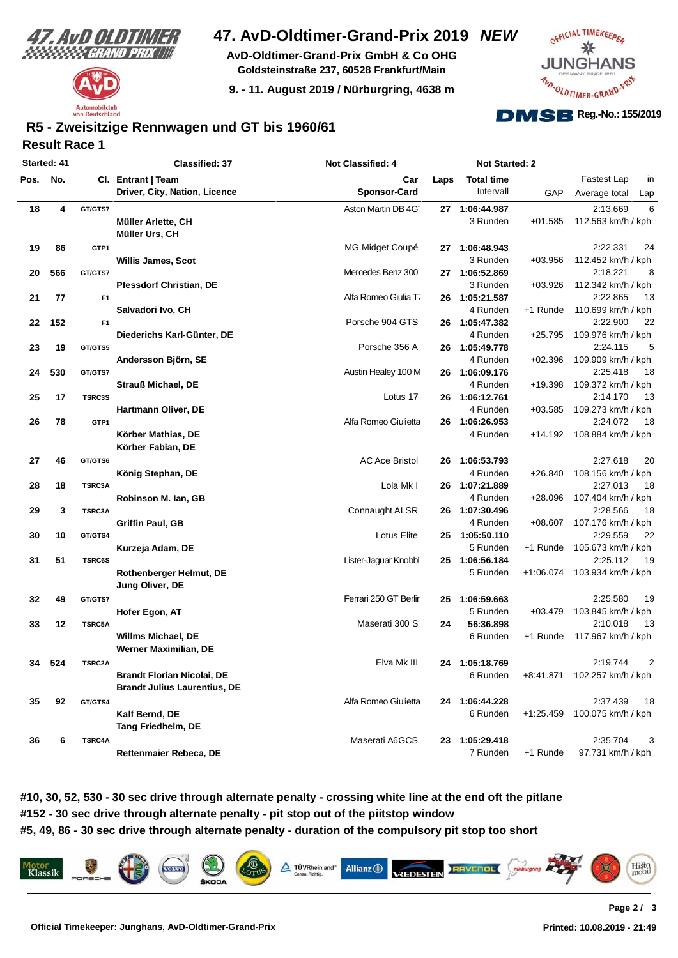



## **47. AvD-Oldtimer-Grand-Prix 2019** *NEW*

**AvD-Oldtimer-Grand-Prix GmbH & Co OHG Goldsteinstraße 237, 60528 Frankfurt/Main**

**9. - 11. August 2019 / Nürburgring, 4638 m**



## **Result Race 1 R5 - Zweisitzige Rennwagen und GT bis 1960/61**

| Started: 41 |     |                | Classified: 37                      | <b>Not Classified: 4</b> |      | Not Started: 2    |             |                              |    |
|-------------|-----|----------------|-------------------------------------|--------------------------|------|-------------------|-------------|------------------------------|----|
| Pos.        | No. |                | Cl. Entrant   Team                  | Car                      | Laps | <b>Total time</b> |             | Fastest Lap                  | in |
|             |     |                | Driver, City, Nation, Licence       | <b>Sponsor-Card</b>      |      | Intervall         | GAP         | Average total<br>Lap         |    |
| 18          | 4   | GT/GTS7        |                                     | Aston Martin DB 4G       |      | 27 1:06:44.987    |             | 2:13.669                     | 6  |
|             |     |                | Müller Arlette, CH                  |                          |      | 3 Runden          | $+01.585$   | 112.563 km/h / kph           |    |
|             |     |                | Müller Urs, CH                      |                          |      |                   |             |                              |    |
| 19          | 86  | GTP1           |                                     | MG Midget Coupé          |      | 27 1:06:48.943    |             | 2:22.331                     | 24 |
|             |     |                | <b>Willis James, Scot</b>           |                          |      | 3 Runden          | $+03.956$   | 112.452 km/h / kph           |    |
| 20          | 566 | GT/GTS7        |                                     | Mercedes Benz 300        |      | 27 1:06:52.869    |             | 2:18.221                     | 8  |
|             |     |                | <b>Pfessdorf Christian, DE</b>      |                          |      | 3 Runden          | $+03.926$   | 112.342 km/h / kph           |    |
| 21          | 77  | F <sub>1</sub> |                                     | Alfa Romeo Giulia T.     |      | 26 1:05:21.587    |             | 2:22.865                     | 13 |
|             |     |                | Salvadori Ivo, CH                   |                          |      | 4 Runden          | +1 Runde    | 110.699 km/h / kph           |    |
| 22          | 152 | F <sub>1</sub> |                                     | Porsche 904 GTS          |      | 26 1:05:47.382    |             | 2:22.900                     | 22 |
|             |     |                | Diederichs Karl-Günter, DE          |                          |      | 4 Runden          | $+25.795$   | 109.976 km/h / kph           |    |
| 23          | 19  | GT/GTS5        |                                     | Porsche 356 A            |      | 26 1:05:49.778    |             | 2:24.115                     | 5  |
|             |     |                | Andersson Björn, SE                 |                          |      | 4 Runden          | $+02.396$   | 109.909 km/h / kph           |    |
| 24          | 530 | GT/GTS7        |                                     | Austin Healey 100 M      |      | 26 1:06:09.176    |             | 2:25.418                     | 18 |
|             |     |                | <b>Strauß Michael, DE</b>           |                          |      | 4 Runden          | +19.398     | 109.372 km/h / kph           |    |
| 25          | 17  | TSRC3S         |                                     | Lotus 17                 |      | 26 1:06:12.761    |             | 2:14.170                     | 13 |
|             |     |                | Hartmann Oliver, DE                 |                          |      | 4 Runden          | $+03.585$   | 109.273 km/h / kph           |    |
| 26          | 78  | GTP1           |                                     | Alfa Romeo Giulietta     |      | 26 1:06:26.953    |             | 2:24.072                     | 18 |
|             |     |                | Körber Mathias, DE                  |                          |      | 4 Runden          | +14.192     | 108.884 km/h / kph           |    |
|             |     |                | Körber Fabian, DE                   |                          |      |                   |             |                              |    |
| 27          | 46  | GT/GTS6        |                                     | <b>AC Ace Bristol</b>    | 26   | 1:06:53.793       |             | 2:27.618                     | 20 |
|             |     |                | König Stephan, DE                   |                          |      | 4 Runden          | $+26.840$   | 108.156 km/h / kph           |    |
| 28          | 18  | TSRC3A         |                                     | Lola Mk I                |      | 26 1:07:21.889    |             | 2:27.013                     | 18 |
|             |     |                | Robinson M. Ian, GB                 |                          |      | 4 Runden          | $+28.096$   | 107.404 km/h / kph           |    |
| 29          | 3   | TSRC3A         |                                     | Connaught ALSR           |      | 26 1:07:30.496    |             | 2:28.566                     | 18 |
|             |     |                | <b>Griffin Paul, GB</b>             |                          |      | 4 Runden          | $+08.607$   | 107.176 km/h / kph           |    |
| 30          | 10  | GT/GTS4        |                                     | Lotus Elite              |      | 25 1:05:50.110    |             | 2:29.559                     | 22 |
|             |     |                | Kurzeja Adam, DE                    |                          |      | 5 Runden          | +1 Runde    | 105.673 km/h / kph           |    |
| 31          | 51  | <b>TSRC6S</b>  |                                     | Lister-Jaguar Knobbl     |      | 25 1:06:56.184    |             | 2:25.112                     | 19 |
|             |     |                | <b>Rothenberger Helmut, DE</b>      |                          |      | 5 Runden          |             | +1:06.074 103.934 km/h / kph |    |
|             |     |                | Jung Oliver, DE                     |                          |      |                   |             |                              |    |
| 32          | 49  | GT/GTS7        |                                     | Ferrari 250 GT Berlir    | 25   | 1:06:59.663       |             | 2:25.580                     | 19 |
|             |     |                | Hofer Egon, AT                      |                          |      | 5 Runden          | $+03.479$   | 103.845 km/h / kph           |    |
| 33          | 12  | <b>TSRC5A</b>  |                                     | Maserati 300 S           | 24   | 56:36.898         |             | 2:10.018                     | 13 |
|             |     |                | Willms Michael, DE                  |                          |      | 6 Runden          | +1 Runde    | 117.967 km/h / kph           |    |
|             |     |                | <b>Werner Maximilian, DE</b>        |                          |      |                   |             |                              |    |
|             |     |                |                                     |                          |      |                   |             |                              |    |
| 34          | 524 | TSRC2A         |                                     | Elva Mk III              |      | 24 1:05:18.769    |             | 2:19.744                     | 2  |
|             |     |                | <b>Brandt Florian Nicolai, DE</b>   |                          |      | 6 Runden          | +8:41.871   | 102.257 km/h / kph           |    |
|             |     |                | <b>Brandt Julius Laurentius, DE</b> |                          |      |                   |             |                              |    |
| 35          | 92  | GT/GTS4        |                                     | Alfa Romeo Giulietta     |      | 24 1:06:44.228    |             | 2:37.439                     | 18 |
|             |     |                | Kalf Bernd, DE                      |                          |      | 6 Runden          | $+1:25.459$ | 100.075 km/h / kph           |    |
|             |     |                | <b>Tang Friedhelm, DE</b>           |                          |      |                   |             |                              |    |
| 36          | 6   | <b>TSRC4A</b>  |                                     | Maserati A6GCS           | 23   | 1:05:29.418       |             | 2:35.704                     | 3  |
|             |     |                | Rettenmaier Rebeca, DE              |                          |      | 7 Runden          | +1 Runde    | 97.731 km/h / kph            |    |

**#10, 30, 52, 530 - 30 sec drive through alternate penalty - crossing white line at the end oft the pitlane #152 - 30 sec drive through alternate penalty - pit stop out of the piitstop window #5, 49, 86 - 30 sec drive through alternate penalty - duration of the compulsory pit stop too short**